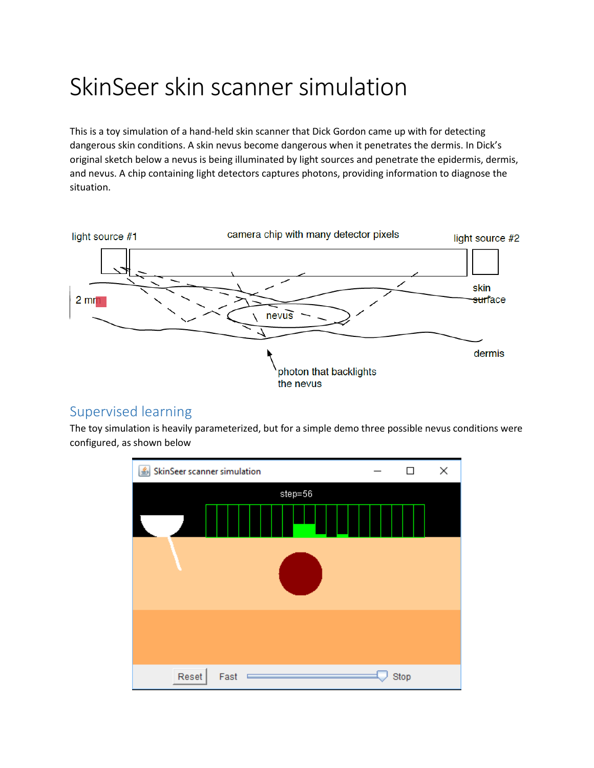## SkinSeerskin scanner simulation

This is a toy simulation of a hand-held skin scanner that Dick Gordon came up with for detecting dangerous skin conditions. A skin nevus become dangerous when it penetrates the dermis. In Dick's original sketch below a nevus is being illuminated by light sources and penetrate the epidermis, dermis, and nevus. A chip containing light detectors captures photons, providing information to diagnose the situation.



## Supervised learning

The toy simulation is heavily parameterized, but for a simple demo three possible nevus conditions were configured, as shown below

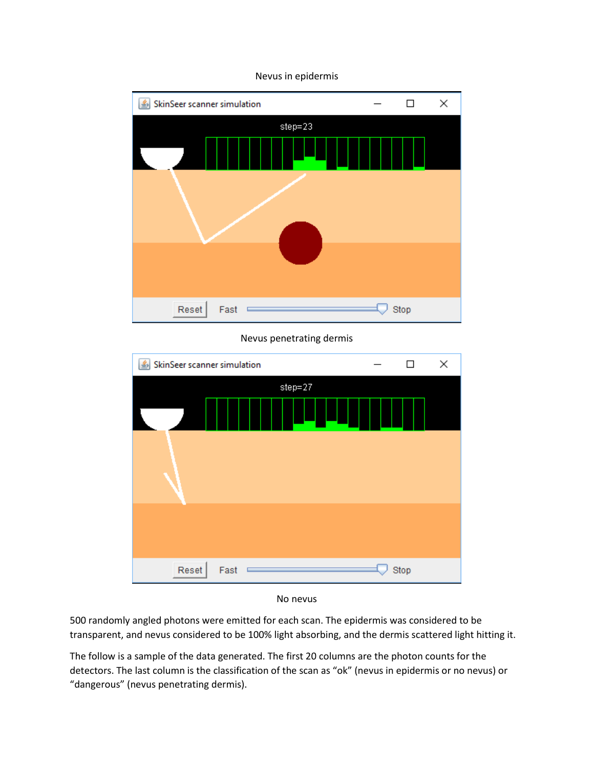

## Nevus in epidermis

Nevus penetrating dermis





500 randomly angled photons were emitted for each scan. The epidermis was considered to be transparent, and nevus considered to be 100% light absorbing, and the dermis scattered light hitting it.

The follow is a sample of the data generated. The first 20 columns are the photon counts for the detectors. The last column is the classification of the scan as "ok" (nevus in epidermis or no nevus) or "dangerous" (nevus penetrating dermis).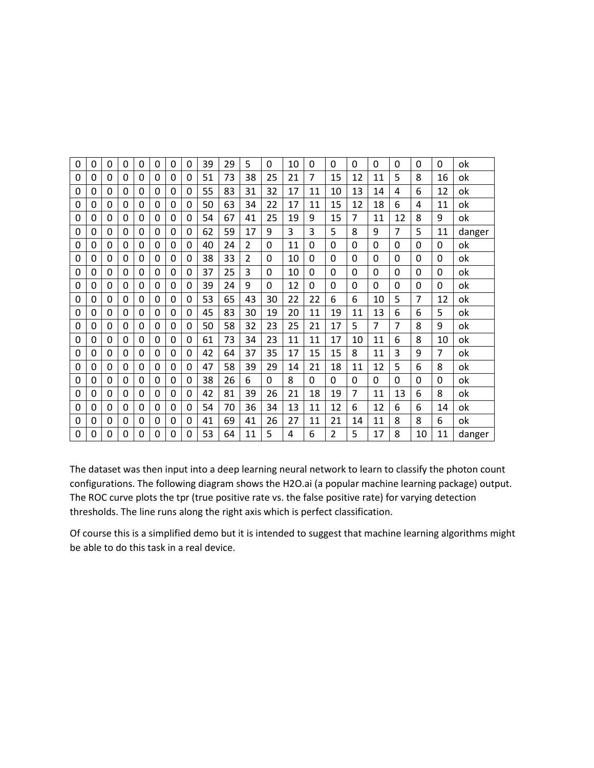| 0 | 0            | 0        | 0        | 0        | 0        | 0        | 0        | 39 | 29 | 5             | 0  | 10 | 0        | 0              | 0  | 0  | 0        | 0  | $\Omega$       | ok     |
|---|--------------|----------|----------|----------|----------|----------|----------|----|----|---------------|----|----|----------|----------------|----|----|----------|----|----------------|--------|
| 0 | 0            | 0        | 0        | 0        | 0        | 0        | 0        | 51 | 73 | 38            | 25 | 21 | 7        | 15             | 12 | 11 | 5        | 8  | 16             | ok     |
| 0 | 0            | 0        | 0        | 0        | 0        | 0        | 0        | 55 | 83 | 31            | 32 | 17 | 11       | 10             | 13 | 14 | 4        | 6  | 12             | ok     |
| 0 | 0            | 0        | 0        | $\Omega$ | 0        | 0        | 0        | 50 | 63 | 34            | 22 | 17 | 11       | 15             | 12 | 18 | 6        | 4  | 11             | ok     |
| 0 | 0            | 0        | 0        | $\Omega$ | 0        | $\Omega$ | 0        | 54 | 67 | 41            | 25 | 19 | 9        | 15             | 7  | 11 | 12       | 8  | 9              | ok     |
| 0 | 0            | $\Omega$ | 0        | $\Omega$ | 0        | 0        | 0        | 62 | 59 | 17            | 9  | 3  | 3        | 5              | 8  | 9  | 7        | 5  | 11             | danger |
| 0 | $\Omega$     | 0        | 0        | 0        | 0        | $\Omega$ | 0        | 40 | 24 | $\mathfrak z$ | 0  | 11 | $\Omega$ | $\Omega$       | 0  | 0  | 0        | 0  | $\Omega$       | ok     |
| 0 | $\mathbf{0}$ | $\Omega$ | 0        | $\Omega$ | 0        | 0        | 0        | 38 | 33 | 2             | 0  | 10 | $\Omega$ | $\mathbf{0}$   | 0  | 0  | 0        | 0  | $\Omega$       | ok     |
| 0 | $\Omega$     | $\Omega$ | 0        | $\Omega$ | 0        | $\Omega$ | 0        | 37 | 25 | 3             | 0  | 10 | $\Omega$ | $\Omega$       | 0  | 0  | $\Omega$ | 0  | $\Omega$       | ok     |
| 0 | 0            | $\Omega$ | 0        | 0        | $\Omega$ | $\Omega$ | $\Omega$ | 39 | 24 | 9             | 0  | 12 | $\Omega$ | $\Omega$       | 0  | 0  | $\Omega$ | 0  | $\Omega$       | ok     |
| 0 | $\Omega$     | 0        | 0        | 0        | 0        | $\Omega$ | 0        | 53 | 65 | 43            | 30 | 22 | 22       | 6              | 6  | 10 | 5        | 7  | 12             | ok     |
| 0 | $\mathbf{0}$ | 0        | 0        | 0        | 0        | 0        | 0        | 45 | 83 | 30            | 19 | 20 | 11       | 19             | 11 | 13 | 6        | 6  | 5              | ok     |
| 0 | 0            | $\Omega$ | 0        | $\Omega$ | 0        | 0        | 0        | 50 | 58 | 32            | 23 | 25 | 21       | 17             | 5  | 7  | 7        | 8  | 9              | ok     |
| 0 | $\Omega$     | $\Omega$ | $\Omega$ | $\Omega$ | 0        | $\Omega$ | 0        | 61 | 73 | 34            | 23 | 11 | 11       | 17             | 10 | 11 | 6        | 8  | 10             | ok     |
| 0 | $\Omega$     | $\Omega$ | 0        | $\Omega$ | 0        | $\Omega$ | 0        | 42 | 64 | 37            | 35 | 17 | 15       | 15             | 8  | 11 | 3        | 9  | $\overline{7}$ | ok     |
| 0 | 0            | 0        | 0        | 0        | 0        | 0        | 0        | 47 | 58 | 39            | 29 | 14 | 21       | 18             | 11 | 12 | 5        | 6  | 8              | ok     |
| 0 | 0            | 0        | 0        | $\Omega$ | 0        | 0        | 0        | 38 | 26 | 6             | 0  | 8  | 0        | 0              | 0  | 0  | 0        | 0  | 0              | ok     |
| 0 | $\Omega$     | $\Omega$ | 0        | 0        | $\Omega$ | $\Omega$ | 0        | 42 | 81 | 39            | 26 | 21 | 18       | 19             | 7  | 11 | 13       | 6  | 8              | ok     |
| 0 | 0            | 0        | 0        | 0        | 0        | 0        | 0        | 54 | 70 | 36            | 34 | 13 | 11       | 12             | 6  | 12 | 6        | 6  | 14             | ok     |
| 0 | 0            | $\Omega$ | 0        | 0        | 0        | 0        | 0        | 41 | 69 | 41            | 26 | 27 | 11       | 21             | 14 | 11 | 8        | 8  | 6              | ok     |
| 0 | $\Omega$     | 0        | 0        | $\Omega$ | 0        | $\Omega$ | 0        | 53 | 64 | 11            | 5  | 4  | 6        | $\mathfrak{p}$ | 5  | 17 | 8        | 10 | 11             | danger |

The dataset was then input into a deep learning neural network to learn to classify the photon count configurations. The following diagram shows the H2O.ai (a popular machine learning package) output. The ROC curve plots the tpr (true positive rate vs. the false positive rate) for varying detection thresholds. The line runs along the right axis which is perfect classification.

Of course this is a simplified demo but it is intended to suggest that machine learning algorithms might be able to do this task in a real device.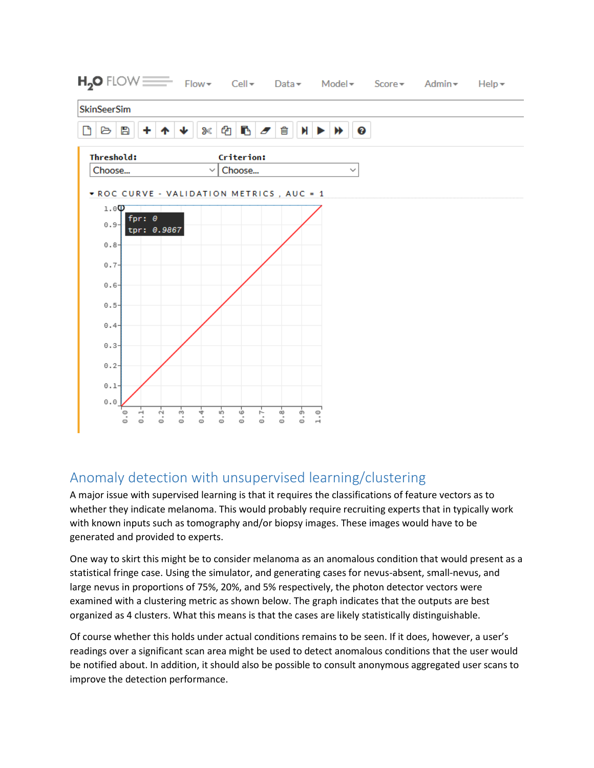

## Anomaly detection with unsupervised learning/clustering

A major issue with supervised learning is that it requires the classifications of feature vectors as to whether they indicate melanoma. This would probably require recruiting experts that in typically work with known inputs such as tomography and/or biopsy images. These images would have to be generated and provided to experts.

One way to skirt this might be to consider melanoma as an anomalous condition that would present as a statistical fringe case. Using the simulator, and generating cases for nevus-absent, small-nevus, and large nevus in proportions of 75%, 20%, and 5% respectively, the photon detector vectors were examined with a clustering metric as shown below. The graph indicates that the outputs are best organized as 4 clusters. What this means is that the cases are likely statistically distinguishable.

Of course whether this holds under actual conditions remains to be seen. If it does, however, a user's readings over a significant scan area might be used to detect anomalous conditions that the user would be notified about. In addition, it should also be possible to consult anonymous aggregated user scans to improve the detection performance.